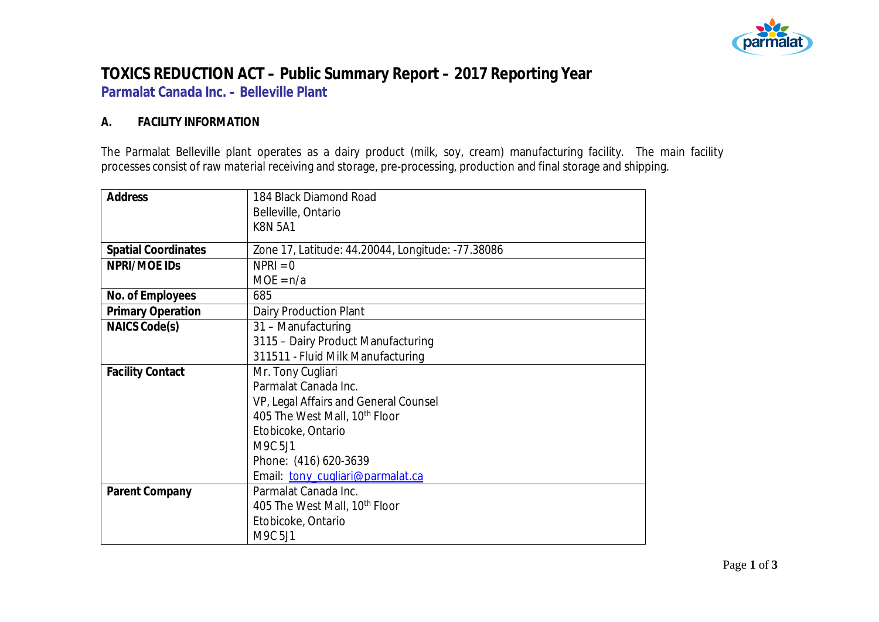

## **TOXICS REDUCTION ACT – Public Summary Report – 2017 Reporting Year Parmalat Canada Inc. – Belleville Plant**

## **A. FACILITY INFORMATION**

The Parmalat Belleville plant operates as a dairy product (milk, soy, cream) manufacturing facility. The main facility processes consist of raw material receiving and storage, pre-processing, production and final storage and shipping.

| Address                    | 184 Black Diamond Road                            |
|----------------------------|---------------------------------------------------|
|                            | Belleville, Ontario                               |
|                            | <b>K8N 5A1</b>                                    |
| <b>Spatial Coordinates</b> | Zone 17, Latitude: 44.20044, Longitude: -77.38086 |
| NPRI/MOE IDS               | $NPRI = 0$                                        |
|                            | $MOE = n/a$                                       |
| No. of Employees           | 685                                               |
| <b>Primary Operation</b>   | Dairy Production Plant                            |
| NAICS Code(s)              | 31 - Manufacturing                                |
|                            | 3115 - Dairy Product Manufacturing                |
|                            | 311511 - Fluid Milk Manufacturing                 |
| <b>Facility Contact</b>    | Mr. Tony Cugliari                                 |
|                            | Parmalat Canada Inc.                              |
|                            | VP, Legal Affairs and General Counsel             |
|                            | 405 The West Mall, 10 <sup>th</sup> Floor         |
|                            | Etobicoke, Ontario                                |
|                            | M9C 5J1                                           |
|                            | Phone: (416) 620-3639                             |
|                            | Email tony_cugliari@parmalat.ca                   |
| Parent Company             | Parmalat Canada Inc.                              |
|                            | 405 The West Mall, 10 <sup>th</sup> Floor         |
|                            | Etobicoke, Ontario                                |
|                            | M9C 5J1                                           |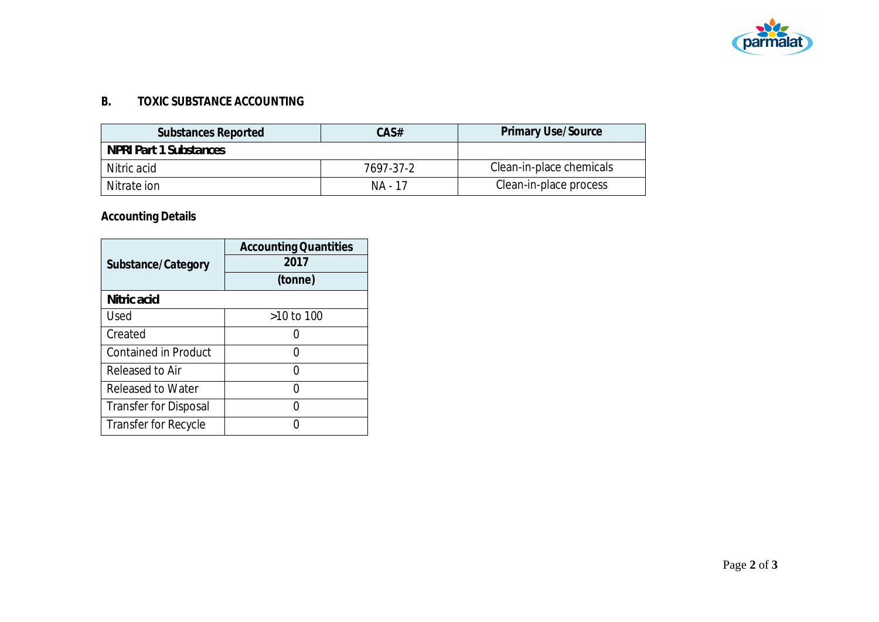

## **B. TOXIC SUBSTANCE ACCOUNTING**

| Substances Reported    | CAS#      | <b>Primary Use/Source</b> |
|------------------------|-----------|---------------------------|
| NPRI Part 1 Substances |           |                           |
| Nitric acid            | 7697-37-2 | Clean-in-place chemicals  |
| Nitrate ion            | NA - 17   | Clean-in-place process    |

## **Accounting Details**

|                              | <b>Accounting Quantities</b> |  |  |
|------------------------------|------------------------------|--|--|
| Substance/Category           | 2017                         |  |  |
|                              | (tonne)                      |  |  |
| Nitric acid                  |                              |  |  |
| Used                         | >10 to 100                   |  |  |
| Created                      |                              |  |  |
| <b>Contained in Product</b>  |                              |  |  |
| Released to Air              |                              |  |  |
| Released to Water            |                              |  |  |
| <b>Transfer for Disposal</b> |                              |  |  |
| Transfer for Recycle         |                              |  |  |